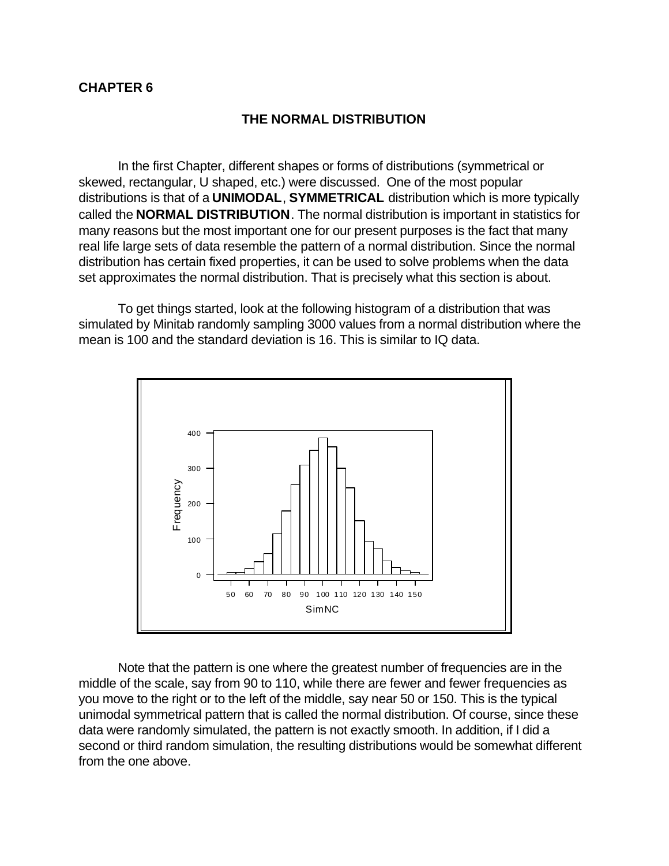#### **CHAPTER 6**

#### **THE NORMAL DISTRIBUTION**

In the first Chapter, different shapes or forms of distributions (symmetrical or skewed, rectangular, U shaped, etc.) were discussed. One of the most popular distributions is that of a **UNIMODAL**, **SYMMETRICAL** distribution which is more typically called the **NORMAL DISTRIBUTION**. The normal distribution is important in statistics for many reasons but the most important one for our present purposes is the fact that many real life large sets of data resemble the pattern of a normal distribution. Since the normal distribution has certain fixed properties, it can be used to solve problems when the data set approximates the normal distribution. That is precisely what this section is about.

To get things started, look at the following histogram of a distribution that was simulated by Minitab randomly sampling 3000 values from a normal distribution where the mean is 100 and the standard deviation is 16. This is similar to IQ data.



Note that the pattern is one where the greatest number of frequencies are in the middle of the scale, say from 90 to 110, while there are fewer and fewer frequencies as you move to the right or to the left of the middle, say near 50 or 150. This is the typical unimodal symmetrical pattern that is called the normal distribution. Of course, since these data were randomly simulated, the pattern is not exactly smooth. In addition, if I did a second or third random simulation, the resulting distributions would be somewhat different from the one above.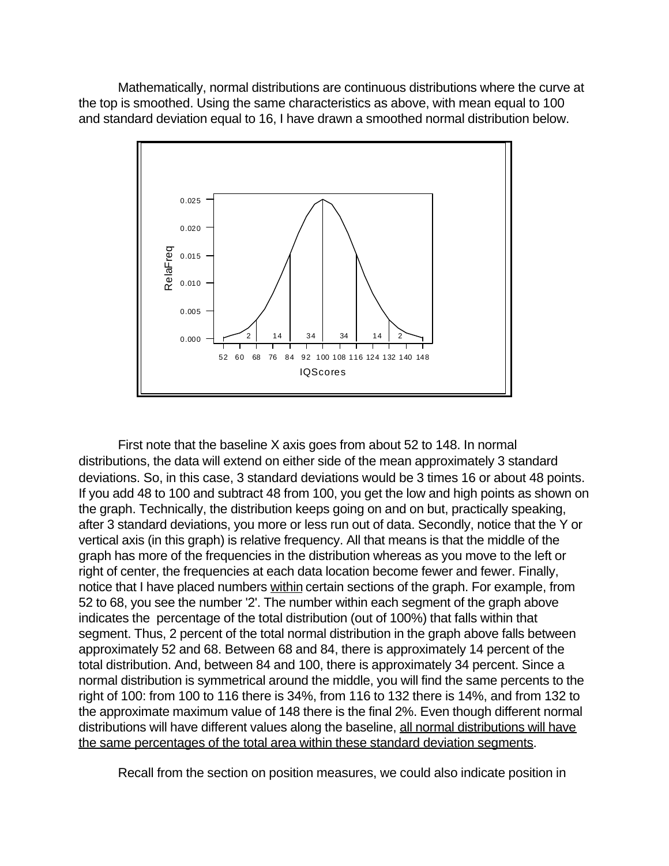Mathematically, normal distributions are continuous distributions where the curve at the top is smoothed. Using the same characteristics as above, with mean equal to 100 and standard deviation equal to 16, I have drawn a smoothed normal distribution below.



First note that the baseline X axis goes from about 52 to 148. In normal distributions, the data will extend on either side of the mean approximately 3 standard deviations. So, in this case, 3 standard deviations would be 3 times 16 or about 48 points. If you add 48 to 100 and subtract 48 from 100, you get the low and high points as shown on the graph. Technically, the distribution keeps going on and on but, practically speaking, after 3 standard deviations, you more or less run out of data. Secondly, notice that the Y or vertical axis (in this graph) is relative frequency. All that means is that the middle of the graph has more of the frequencies in the distribution whereas as you move to the left or right of center, the frequencies at each data location become fewer and fewer. Finally, notice that I have placed numbers within certain sections of the graph. For example, from 52 to 68, you see the number '2'. The number within each segment of the graph above indicates the percentage of the total distribution (out of 100%) that falls within that segment. Thus, 2 percent of the total normal distribution in the graph above falls between approximately 52 and 68. Between 68 and 84, there is approximately 14 percent of the total distribution. And, between 84 and 100, there is approximately 34 percent. Since a normal distribution is symmetrical around the middle, you will find the same percents to the right of 100: from 100 to 116 there is 34%, from 116 to 132 there is 14%, and from 132 to the approximate maximum value of 148 there is the final 2%. Even though different normal distributions will have different values along the baseline, all normal distributions will have the same percentages of the total area within these standard deviation segments.

Recall from the section on position measures, we could also indicate position in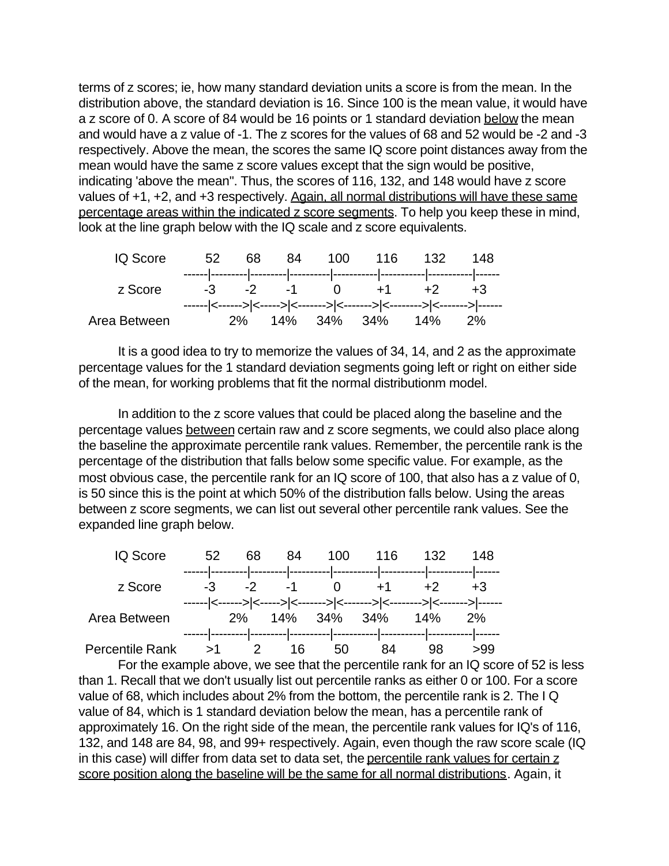terms of z scores; ie, how many standard deviation units a score is from the mean. In the distribution above, the standard deviation is 16. Since 100 is the mean value, it would have a z score of 0. A score of 84 would be 16 points or 1 standard deviation below the mean and would have a z value of -1. The z scores for the values of 68 and 52 would be -2 and -3 respectively. Above the mean, the scores the same IQ score point distances away from the mean would have the same z score values except that the sign would be positive, indicating 'above the mean". Thus, the scores of 116, 132, and 148 would have z score values of +1, +2, and +3 respectively. Again, all normal distributions will have these same percentage areas within the indicated z score segments. To help you keep these in mind, look at the line graph below with the IQ scale and z score equivalents.

| IQ Score     | 52 |  |  | 68 84 100 116 132               | - 148                                                                  |  |
|--------------|----|--|--|---------------------------------|------------------------------------------------------------------------|--|
| z Score      |    |  |  | $-3$ $-2$ $-1$ 0 $+1$ $+2$ $+3$ |                                                                        |  |
| Area Between |    |  |  | 2% 14% 34% 34% 14% 2%           | ------ <------> <-----> <-------> <-------> <-------> <-------> ------ |  |

It is a good idea to try to memorize the values of 34, 14, and 2 as the approximate percentage values for the 1 standard deviation segments going left or right on either side of the mean, for working problems that fit the normal distributionm model.

In addition to the z score values that could be placed along the baseline and the percentage values between certain raw and z score segments, we could also place along the baseline the approximate percentile rank values. Remember, the percentile rank is the percentage of the distribution that falls below some specific value. For example, as the most obvious case, the percentile rank for an IQ score of 100, that also has a z value of 0, is 50 since this is the point at which 50% of the distribution falls below. Using the areas between z score segments, we can list out several other percentile rank values. See the expanded line graph below.



For the example above, we see that the percentile rank for an IQ score of 52 is less than 1. Recall that we don't usually list out percentile ranks as either 0 or 100. For a score value of 68, which includes about 2% from the bottom, the percentile rank is 2. The I Q value of 84, which is 1 standard deviation below the mean, has a percentile rank of approximately 16. On the right side of the mean, the percentile rank values for IQ's of 116, 132, and 148 are 84, 98, and 99+ respectively. Again, even though the raw score scale (IQ in this case) will differ from data set to data set, the percentile rank values for certain z score position along the baseline will be the same for all normal distributions. Again, it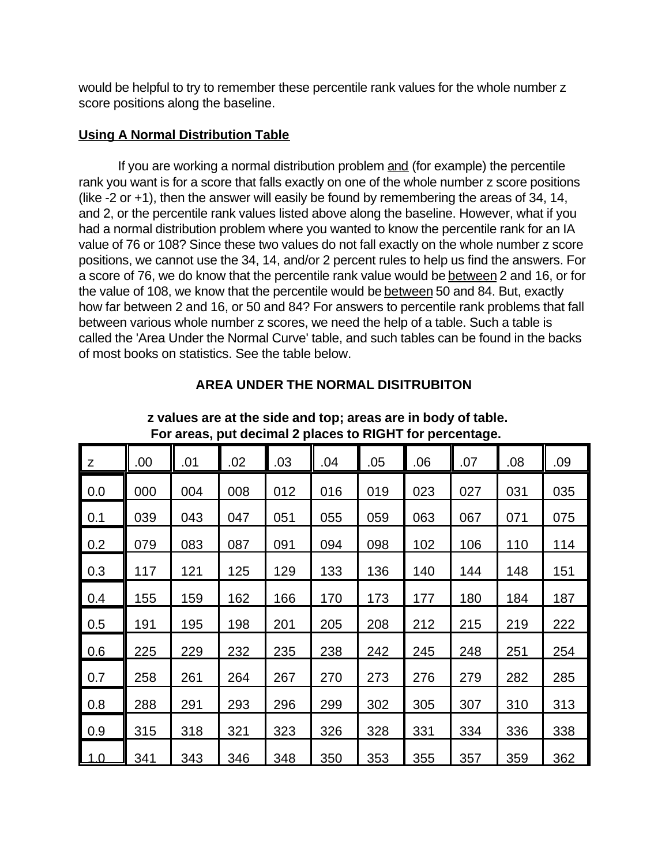would be helpful to try to remember these percentile rank values for the whole number z score positions along the baseline.

#### **Using A Normal Distribution Table**

If you are working a normal distribution problem and (for example) the percentile rank you want is for a score that falls exactly on one of the whole number z score positions (like -2 or +1), then the answer will easily be found by remembering the areas of 34, 14, and 2, or the percentile rank values listed above along the baseline. However, what if you had a normal distribution problem where you wanted to know the percentile rank for an IA value of 76 or 108? Since these two values do not fall exactly on the whole number z score positions, we cannot use the 34, 14, and/or 2 percent rules to help us find the answers. For a score of 76, we do know that the percentile rank value would be between 2 and 16, or for the value of 108, we know that the percentile would be between 50 and 84. But, exactly how far between 2 and 16, or 50 and 84? For answers to percentile rank problems that fall between various whole number z scores, we need the help of a table. Such a table is called the 'Area Under the Normal Curve' table, and such tables can be found in the backs of most books on statistics. See the table below.

| For areas, put decimal 2 places to RIGHT for percentage. |     |     |     |     |     |     |     |     |     |     |
|----------------------------------------------------------|-----|-----|-----|-----|-----|-----|-----|-----|-----|-----|
| Z                                                        | .00 | .01 | .02 | .03 | .04 | .05 | .06 | .07 | .08 | .09 |
| 0.0                                                      | 000 | 004 | 008 | 012 | 016 | 019 | 023 | 027 | 031 | 035 |
| 0.1                                                      | 039 | 043 | 047 | 051 | 055 | 059 | 063 | 067 | 071 | 075 |
| 0.2                                                      | 079 | 083 | 087 | 091 | 094 | 098 | 102 | 106 | 110 | 114 |
| 0.3                                                      | 117 | 121 | 125 | 129 | 133 | 136 | 140 | 144 | 148 | 151 |
| 0.4                                                      | 155 | 159 | 162 | 166 | 170 | 173 | 177 | 180 | 184 | 187 |
| 0.5                                                      | 191 | 195 | 198 | 201 | 205 | 208 | 212 | 215 | 219 | 222 |
| 0.6                                                      | 225 | 229 | 232 | 235 | 238 | 242 | 245 | 248 | 251 | 254 |
| 0.7                                                      | 258 | 261 | 264 | 267 | 270 | 273 | 276 | 279 | 282 | 285 |
| 0.8                                                      | 288 | 291 | 293 | 296 | 299 | 302 | 305 | 307 | 310 | 313 |
| 0.9                                                      | 315 | 318 | 321 | 323 | 326 | 328 | 331 | 334 | 336 | 338 |
| $\overline{1.0}$                                         | 341 | 343 | 346 | 348 | 350 | 353 | 355 | 357 | 359 | 362 |

**AREA UNDER THE NORMAL DISITRUBITON**

 **z values are at the side and top; areas are in body of table.**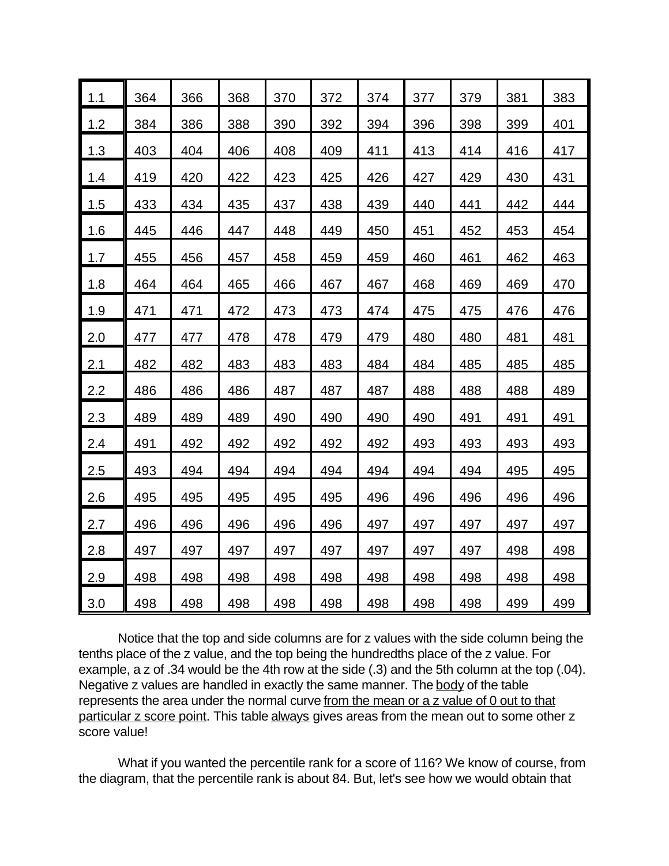| 1.1 | 364 | 366 | 368 | 370 | 372 | 374 | 377 | 379 | 381 | 383 |
|-----|-----|-----|-----|-----|-----|-----|-----|-----|-----|-----|
| 1.2 | 384 | 386 | 388 | 390 | 392 | 394 | 396 | 398 | 399 | 401 |
| 1.3 | 403 | 404 | 406 | 408 | 409 | 411 | 413 | 414 | 416 | 417 |
| 1.4 | 419 | 420 | 422 | 423 | 425 | 426 | 427 | 429 | 430 | 431 |
| 1.5 | 433 | 434 | 435 | 437 | 438 | 439 | 440 | 441 | 442 | 444 |
| 1.6 | 445 | 446 | 447 | 448 | 449 | 450 | 451 | 452 | 453 | 454 |
| 1.7 | 455 | 456 | 457 | 458 | 459 | 459 | 460 | 461 | 462 | 463 |
| 1.8 | 464 | 464 | 465 | 466 | 467 | 467 | 468 | 469 | 469 | 470 |
| 1.9 | 471 | 471 | 472 | 473 | 473 | 474 | 475 | 475 | 476 | 476 |
| 2.0 | 477 | 477 | 478 | 478 | 479 | 479 | 480 | 480 | 481 | 481 |
| 2.1 | 482 | 482 | 483 | 483 | 483 | 484 | 484 | 485 | 485 | 485 |
| 2.2 | 486 | 486 | 486 | 487 | 487 | 487 | 488 | 488 | 488 | 489 |
| 2.3 | 489 | 489 | 489 | 490 | 490 | 490 | 490 | 491 | 491 | 491 |
| 2.4 | 491 | 492 | 492 | 492 | 492 | 492 | 493 | 493 | 493 | 493 |
| 2.5 | 493 | 494 | 494 | 494 | 494 | 494 | 494 | 494 | 495 | 495 |
| 2.6 | 495 | 495 | 495 | 495 | 495 | 496 | 496 | 496 | 496 | 496 |
| 2.7 | 496 | 496 | 496 | 496 | 496 | 497 | 497 | 497 | 497 | 497 |
| 2.8 | 497 | 497 | 497 | 497 | 497 | 497 | 497 | 497 | 498 | 498 |
| 2.9 | 498 | 498 | 498 | 498 | 498 | 498 | 498 | 498 | 498 | 498 |
| 3.0 | 498 | 498 | 498 | 498 | 498 | 498 | 498 | 498 | 499 | 499 |

Notice that the top and side columns are for z values with the side column being the tenths place of the z value, and the top being the hundredths place of the z value. For example, a z of .34 would be the 4th row at the side (.3) and the 5th column at the top (.04). Negative  $z$  values are handled in exactly the same manner. The body of the table represents the area under the normal curve from the mean or a z value of 0 out to that particular z score point. This table always gives areas from the mean out to some other z score value!

What if you wanted the percentile rank for a score of 116? We know of course, from the diagram, that the percentile rank is about 84. But, let's see how we would obtain that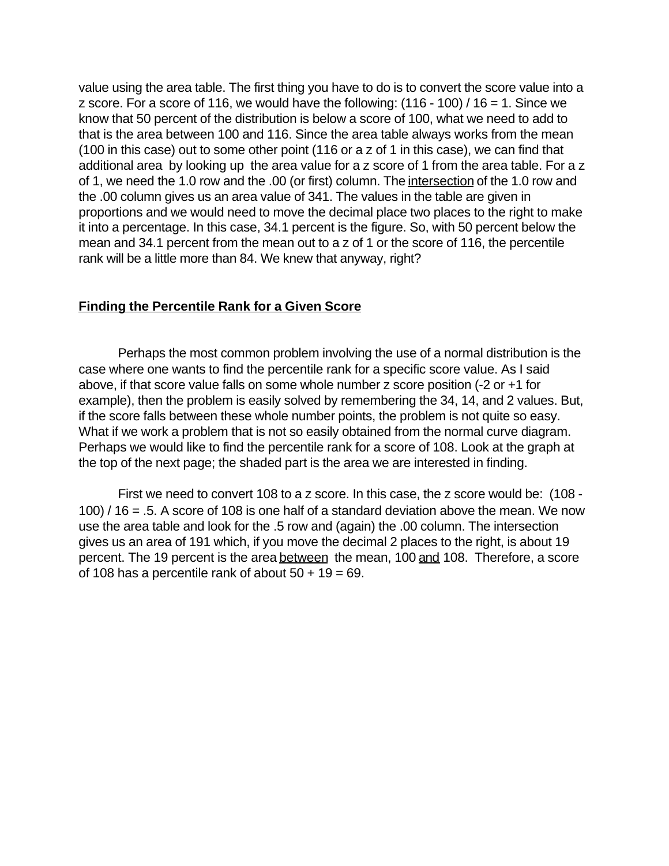value using the area table. The first thing you have to do is to convert the score value into a z score. For a score of 116, we would have the following:  $(116 - 100) / 16 = 1$ . Since we know that 50 percent of the distribution is below a score of 100, what we need to add to that is the area between 100 and 116. Since the area table always works from the mean (100 in this case) out to some other point (116 or a z of 1 in this case), we can find that additional area by looking up the area value for a z score of 1 from the area table. For a z of 1, we need the 1.0 row and the .00 (or first) column. The intersection of the 1.0 row and the .00 column gives us an area value of 341. The values in the table are given in proportions and we would need to move the decimal place two places to the right to make it into a percentage. In this case, 34.1 percent is the figure. So, with 50 percent below the mean and 34.1 percent from the mean out to a z of 1 or the score of 116, the percentile rank will be a little more than 84. We knew that anyway, right?

#### **Finding the Percentile Rank for a Given Score**

Perhaps the most common problem involving the use of a normal distribution is the case where one wants to find the percentile rank for a specific score value. As I said above, if that score value falls on some whole number z score position (-2 or +1 for example), then the problem is easily solved by remembering the 34, 14, and 2 values. But, if the score falls between these whole number points, the problem is not quite so easy. What if we work a problem that is not so easily obtained from the normal curve diagram. Perhaps we would like to find the percentile rank for a score of 108. Look at the graph at the top of the next page; the shaded part is the area we are interested in finding.

First we need to convert 108 to a z score. In this case, the z score would be: (108 - 100) / 16 = .5. A score of 108 is one half of a standard deviation above the mean. We now use the area table and look for the .5 row and (again) the .00 column. The intersection gives us an area of 191 which, if you move the decimal 2 places to the right, is about 19 percent. The 19 percent is the area between the mean, 100 and 108. Therefore, a score of 108 has a percentile rank of about  $50 + 19 = 69$ .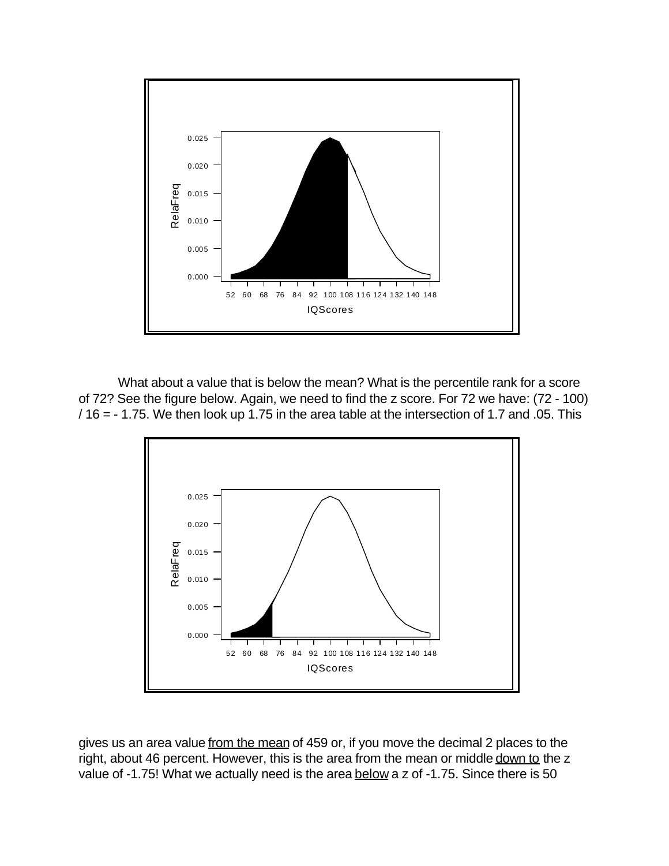

What about a value that is below the mean? What is the percentile rank for a score of 72? See the figure below. Again, we need to find the z score. For 72 we have: (72 - 100)  $/$  16 = - 1.75. We then look up 1.75 in the area table at the intersection of 1.7 and .05. This



gives us an area value from the mean of 459 or, if you move the decimal 2 places to the right, about 46 percent. However, this is the area from the mean or middle down to the z value of -1.75! What we actually need is the area below a z of -1.75. Since there is 50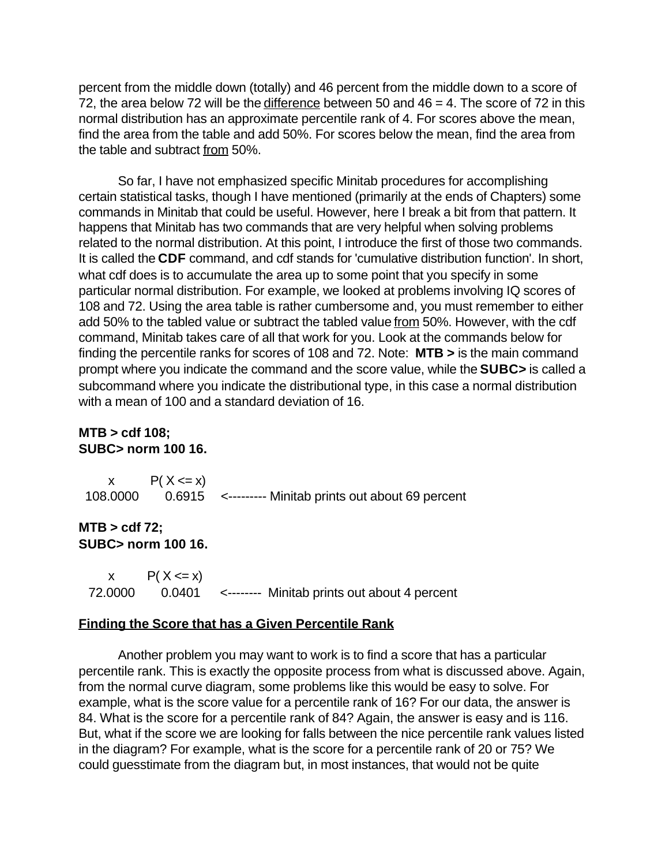percent from the middle down (totally) and 46 percent from the middle down to a score of 72, the area below 72 will be the difference between 50 and 46 = 4. The score of 72 in this normal distribution has an approximate percentile rank of 4. For scores above the mean, find the area from the table and add 50%. For scores below the mean, find the area from the table and subtract from 50%.

So far, I have not emphasized specific Minitab procedures for accomplishing certain statistical tasks, though I have mentioned (primarily at the ends of Chapters) some commands in Minitab that could be useful. However, here I break a bit from that pattern. It happens that Minitab has two commands that are very helpful when solving problems related to the normal distribution. At this point, I introduce the first of those two commands. It is called the **CDF** command, and cdf stands for 'cumulative distribution function'. In short, what cdf does is to accumulate the area up to some point that you specify in some particular normal distribution. For example, we looked at problems involving IQ scores of 108 and 72. Using the area table is rather cumbersome and, you must remember to either add 50% to the tabled value or subtract the tabled value from 50%. However, with the cdf command, Minitab takes care of all that work for you. Look at the commands below for finding the percentile ranks for scores of 108 and 72. Note: **MTB >** is the main command prompt where you indicate the command and the score value, while the **SUBC>** is called a subcommand where you indicate the distributional type, in this case a normal distribution with a mean of 100 and a standard deviation of 16.

### **MTB > cdf 108; SUBC> norm 100 16.**

| $P(X \le x)$ |                                                                  |
|--------------|------------------------------------------------------------------|
|              | 108.0000  0.6915  <--------- Minitab prints out about 69 percent |

#### **MTB > cdf 72; SUBC> norm 100 16.**

x  $P(X \le x)$ 72.0000 0.0401 <-------- Minitab prints out about 4 percent

#### **Finding the Score that has a Given Percentile Rank**

Another problem you may want to work is to find a score that has a particular percentile rank. This is exactly the opposite process from what is discussed above. Again, from the normal curve diagram, some problems like this would be easy to solve. For example, what is the score value for a percentile rank of 16? For our data, the answer is 84. What is the score for a percentile rank of 84? Again, the answer is easy and is 116. But, what if the score we are looking for falls between the nice percentile rank values listed in the diagram? For example, what is the score for a percentile rank of 20 or 75? We could guesstimate from the diagram but, in most instances, that would not be quite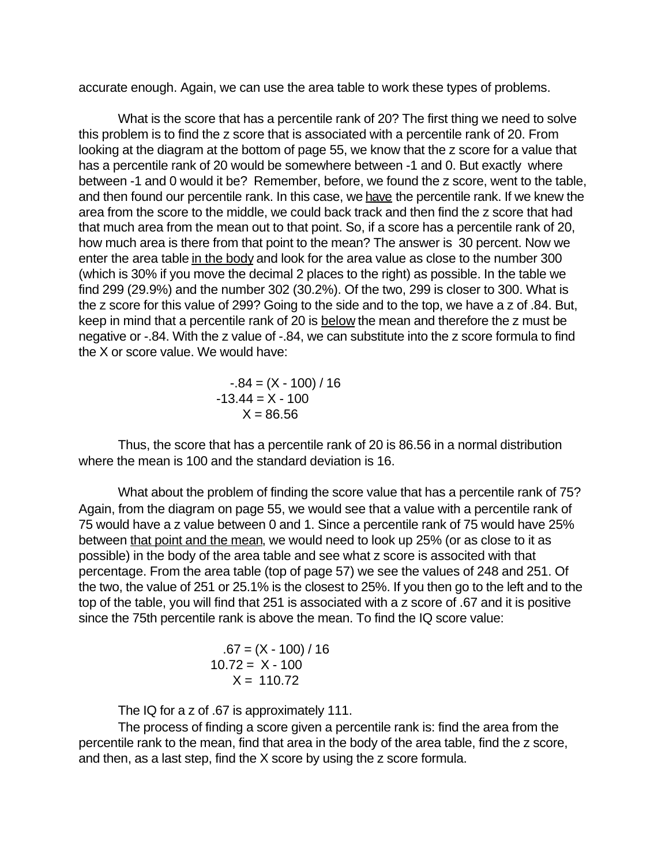accurate enough. Again, we can use the area table to work these types of problems.

What is the score that has a percentile rank of 20? The first thing we need to solve this problem is to find the z score that is associated with a percentile rank of 20. From looking at the diagram at the bottom of page 55, we know that the z score for a value that has a percentile rank of 20 would be somewhere between -1 and 0. But exactly where between -1 and 0 would it be? Remember, before, we found the z score, went to the table, and then found our percentile rank. In this case, we have the percentile rank. If we knew the area from the score to the middle, we could back track and then find the z score that had that much area from the mean out to that point. So, if a score has a percentile rank of 20, how much area is there from that point to the mean? The answer is 30 percent. Now we enter the area table in the body and look for the area value as close to the number 300 (which is 30% if you move the decimal 2 places to the right) as possible. In the table we find 299 (29.9%) and the number 302 (30.2%). Of the two, 299 is closer to 300. What is the z score for this value of 299? Going to the side and to the top, we have a z of .84. But, keep in mind that a percentile rank of 20 is below the mean and therefore the z must be negative or -.84. With the z value of -.84, we can substitute into the z score formula to find the X or score value. We would have:

> $-.84 = (X - 100) / 16$  $-13.44 = X - 100$  $X = 86.56$

Thus, the score that has a percentile rank of 20 is 86.56 in a normal distribution where the mean is 100 and the standard deviation is 16.

What about the problem of finding the score value that has a percentile rank of 75? Again, from the diagram on page 55, we would see that a value with a percentile rank of 75 would have a z value between 0 and 1. Since a percentile rank of 75 would have 25% between that point and the mean, we would need to look up 25% (or as close to it as possible) in the body of the area table and see what z score is associted with that percentage. From the area table (top of page 57) we see the values of 248 and 251. Of the two, the value of 251 or 25.1% is the closest to 25%. If you then go to the left and to the top of the table, you will find that 251 is associated with a z score of .67 and it is positive since the 75th percentile rank is above the mean. To find the IQ score value:

$$
.67 = (X - 100) / 16
$$
  
10.72 = X - 100  
X = 110.72

The IQ for a z of .67 is approximately 111.

The process of finding a score given a percentile rank is: find the area from the percentile rank to the mean, find that area in the body of the area table, find the z score, and then, as a last step, find the X score by using the z score formula.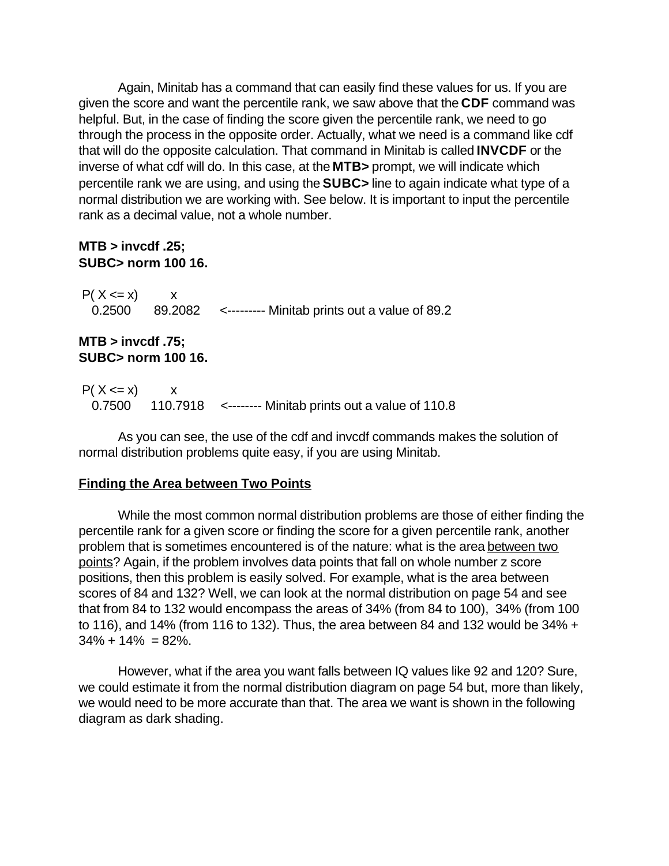Again, Minitab has a command that can easily find these values for us. If you are given the score and want the percentile rank, we saw above that the **CDF** command was helpful. But, in the case of finding the score given the percentile rank, we need to go through the process in the opposite order. Actually, what we need is a command like cdf that will do the opposite calculation. That command in Minitab is called **INVCDF** or the inverse of what cdf will do. In this case, at the **MTB>** prompt, we will indicate which percentile rank we are using, and using the **SUBC>** line to again indicate what type of a normal distribution we are working with. See below. It is important to input the percentile rank as a decimal value, not a whole number.

### **MTB > invcdf .25; SUBC> norm 100 16.**

 $P(X \le x)$  x 0.2500 89.2082 <--------- Minitab prints out a value of 89.2

# **MTB > invcdf .75; SUBC> norm 100 16.**

 $P(X \le x)$  x 0.7500 110.7918 <-------- Minitab prints out a value of 110.8

As you can see, the use of the cdf and invcdf commands makes the solution of normal distribution problems quite easy, if you are using Minitab.

# **Finding the Area between Two Points**

While the most common normal distribution problems are those of either finding the percentile rank for a given score or finding the score for a given percentile rank, another problem that is sometimes encountered is of the nature: what is the area between two points? Again, if the problem involves data points that fall on whole number z score positions, then this problem is easily solved. For example, what is the area between scores of 84 and 132? Well, we can look at the normal distribution on page 54 and see that from 84 to 132 would encompass the areas of 34% (from 84 to 100), 34% (from 100 to 116), and 14% (from 116 to 132). Thus, the area between 84 and 132 would be 34% +  $34\% + 14\% = 82\%$ .

However, what if the area you want falls between IQ values like 92 and 120? Sure, we could estimate it from the normal distribution diagram on page 54 but, more than likely, we would need to be more accurate than that. The area we want is shown in the following diagram as dark shading.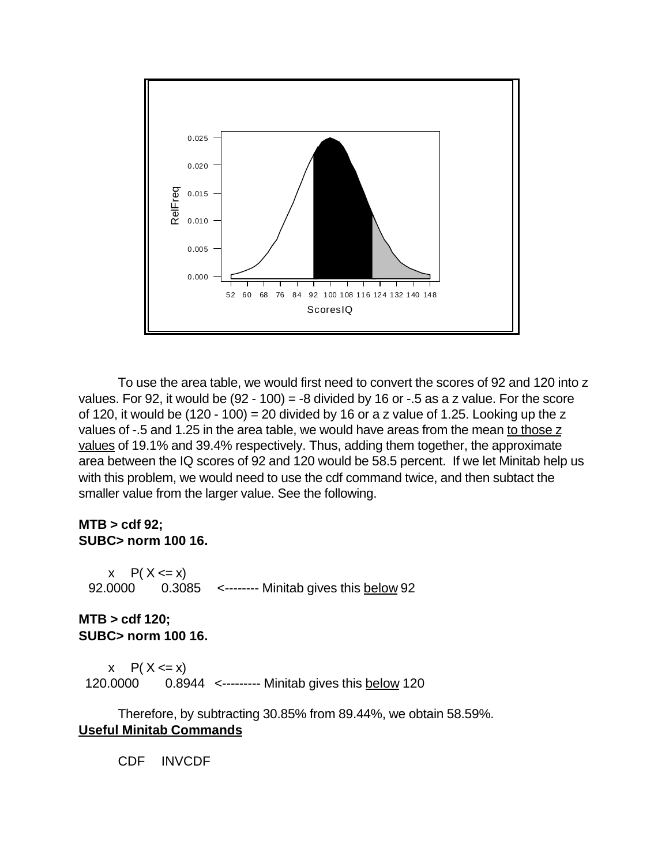

To use the area table, we would first need to convert the scores of 92 and 120 into z values. For 92, it would be  $(92 - 100) = -8$  divided by 16 or  $-0.5$  as a z value. For the score of 120, it would be  $(120 - 100) = 20$  divided by 16 or a z value of 1.25. Looking up the z values of -.5 and 1.25 in the area table, we would have areas from the mean to those z values of 19.1% and 39.4% respectively. Thus, adding them together, the approximate area between the IQ scores of 92 and 120 would be 58.5 percent. If we let Minitab help us with this problem, we would need to use the cdf command twice, and then subtact the smaller value from the larger value. See the following.

### **MTB > cdf 92; SUBC> norm 100 16.**

 $x \in P(X \le x)$ 92.0000 0.3085 <-------- Minitab gives this below 92

# **MTB > cdf 120; SUBC> norm 100 16.**

 $x \in P(X \le x)$ 120.0000 0.8944 <--------- Minitab gives this below 120

Therefore, by subtracting 30.85% from 89.44%, we obtain 58.59%. **Useful Minitab Commands**

CDF INVCDF